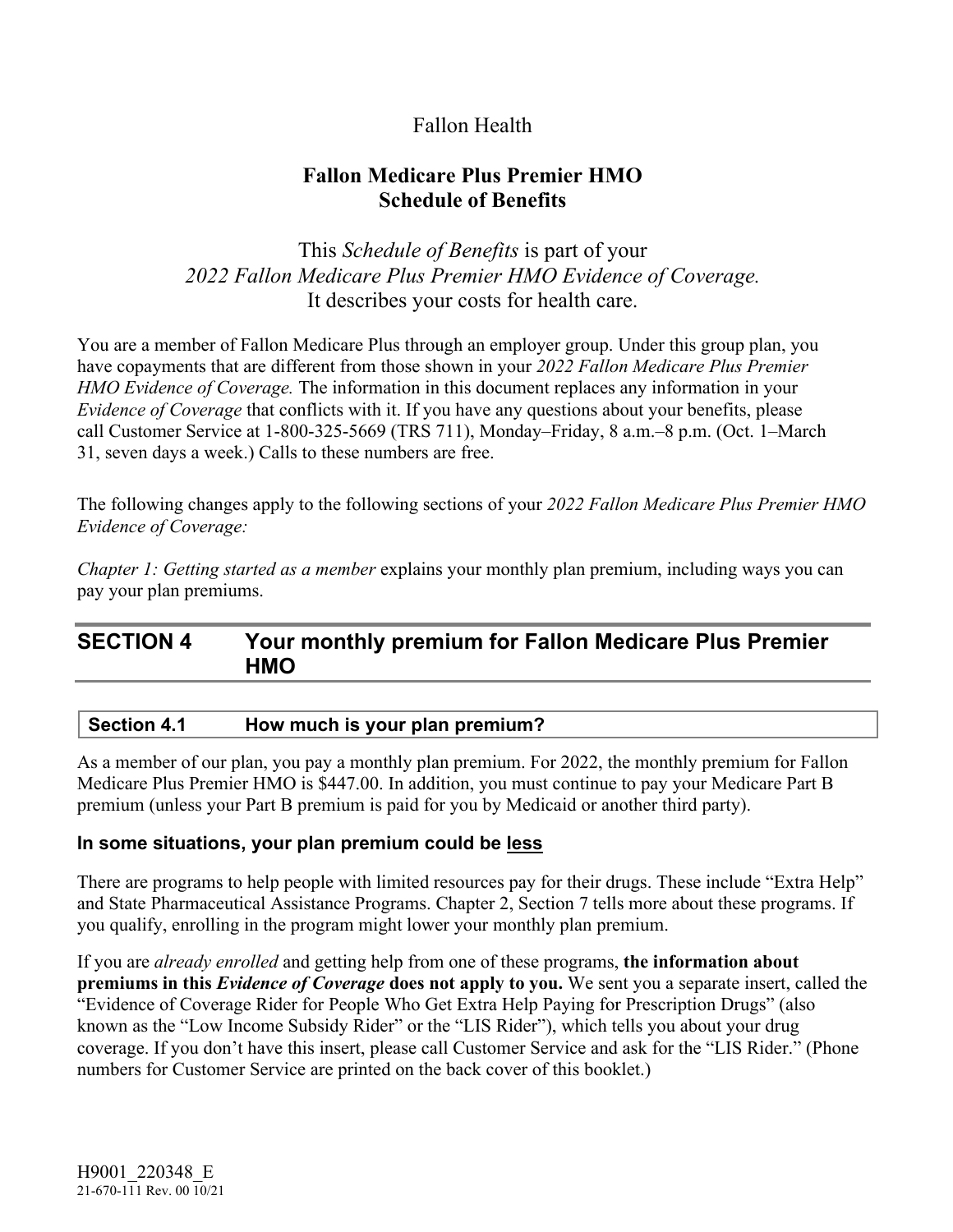# Fallon Health

# **Fallon Medicare Plus Premier HMO Schedule of Benefits**

# This *Schedule of Benefits* is part of your *2022 Fallon Medicare Plus Premier HMO Evidence of Coverage.*  It describes your costs for health care.

You are a member of Fallon Medicare Plus through an employer group. Under this group plan, you have copayments that are different from those shown in your *2022 Fallon Medicare Plus Premier HMO Evidence of Coverage.* The information in this document replaces any information in your *Evidence of Coverage* that conflicts with it. If you have any questions about your benefits, please call Customer Service at 1-800-325-5669 (TRS 711), Monday–Friday, 8 a.m.–8 p.m. (Oct. 1–March 31, seven days a week.) Calls to these numbers are free.

The following changes apply to the following sections of your *2022 Fallon Medicare Plus Premier HMO Evidence of Coverage:*

*Chapter 1: Getting started as a member* explains your monthly plan premium, including ways you can pay your plan premiums.

# **SECTION 4 Your monthly premium for Fallon Medicare Plus Premier HMO**

### **Section 4.1 How much is your plan premium?**

As a member of our plan, you pay a monthly plan premium. For 2022, the monthly premium for Fallon Medicare Plus Premier HMO is \$447.00. In addition, you must continue to pay your Medicare Part B premium (unless your Part B premium is paid for you by Medicaid or another third party).

### **In some situations, your plan premium could be less**

There are programs to help people with limited resources pay for their drugs. These include "Extra Help" and State Pharmaceutical Assistance Programs. Chapter 2, Section 7 tells more about these programs. If you qualify, enrolling in the program might lower your monthly plan premium.

If you are *already enrolled* and getting help from one of these programs, **the information about premiums in this** *Evidence of Coverage* **does not apply to you.** We sent you a separate insert, called the "Evidence of Coverage Rider for People Who Get Extra Help Paying for Prescription Drugs" (also known as the "Low Income Subsidy Rider" or the "LIS Rider"), which tells you about your drug coverage. If you don't have this insert, please call Customer Service and ask for the "LIS Rider." (Phone numbers for Customer Service are printed on the back cover of this booklet.)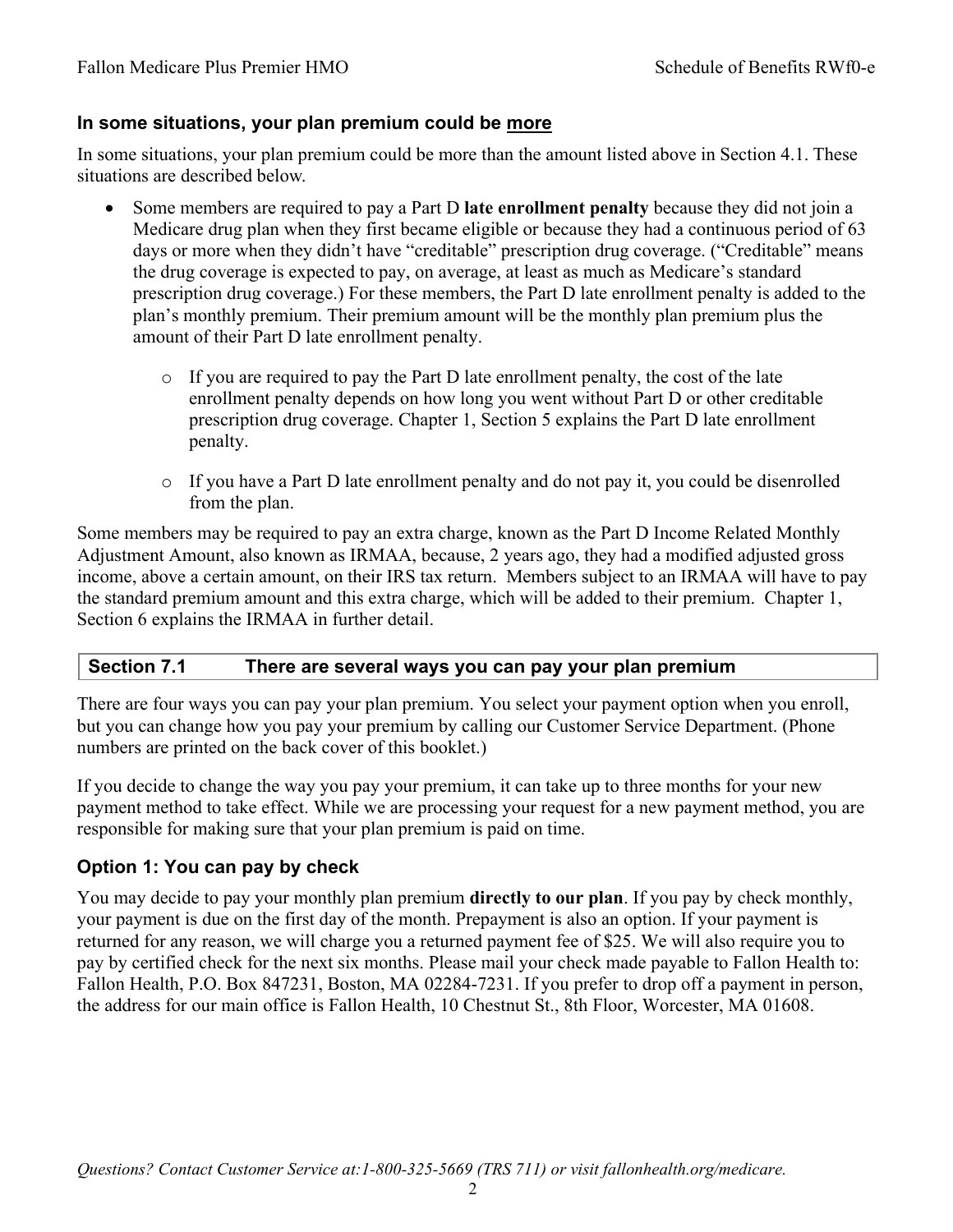## **In some situations, your plan premium could be more**

In some situations, your plan premium could be more than the amount listed above in Section 4.1. These situations are described below.

- Some members are required to pay a Part D **late enrollment penalty** because they did not join a Medicare drug plan when they first became eligible or because they had a continuous period of 63 days or more when they didn't have "creditable" prescription drug coverage. ("Creditable" means the drug coverage is expected to pay, on average, at least as much as Medicare's standard prescription drug coverage.) For these members, the Part D late enrollment penalty is added to the plan's monthly premium. Their premium amount will be the monthly plan premium plus the amount of their Part D late enrollment penalty.
	- o If you are required to pay the Part D late enrollment penalty, the cost of the late enrollment penalty depends on how long you went without Part D or other creditable prescription drug coverage. Chapter 1, Section 5 explains the Part D late enrollment penalty.
	- o If you have a Part D late enrollment penalty and do not pay it, you could be disenrolled from the plan.

Some members may be required to pay an extra charge, known as the Part D Income Related Monthly Adjustment Amount, also known as IRMAA, because, 2 years ago, they had a modified adjusted gross income, above a certain amount, on their IRS tax return. Members subject to an IRMAA will have to pay the standard premium amount and this extra charge, which will be added to their premium. Chapter 1, Section 6 explains the IRMAA in further detail.

## **Section 7.1 There are several ways you can pay your plan premium**

There are four ways you can pay your plan premium. You select your payment option when you enroll, but you can change how you pay your premium by calling our Customer Service Department. (Phone numbers are printed on the back cover of this booklet.)

If you decide to change the way you pay your premium, it can take up to three months for your new payment method to take effect. While we are processing your request for a new payment method, you are responsible for making sure that your plan premium is paid on time.

# **Option 1: You can pay by check**

You may decide to pay your monthly plan premium **directly to our plan**. If you pay by check monthly, your payment is due on the first day of the month. Prepayment is also an option. If your payment is returned for any reason, we will charge you a returned payment fee of \$25. We will also require you to pay by certified check for the next six months. Please mail your check made payable to Fallon Health to: Fallon Health, P.O. Box 847231, Boston, MA 02284-7231. If you prefer to drop off a payment in person, the address for our main office is Fallon Health, 10 Chestnut St., 8th Floor, Worcester, MA 01608.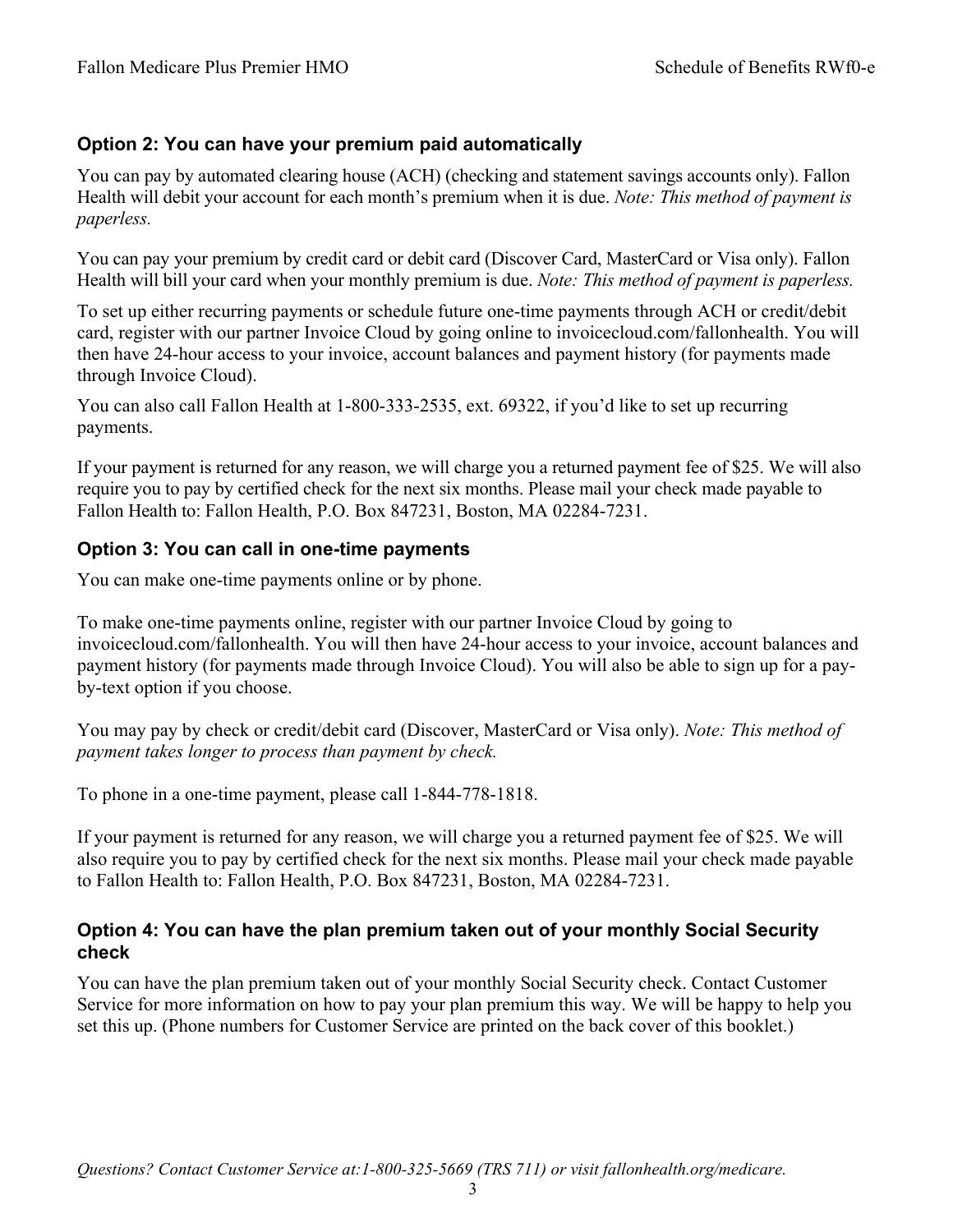# **Option 2: You can have your premium paid automatically**

You can pay by automated clearing house (ACH) (checking and statement savings accounts only). Fallon Health will debit your account for each month's premium when it is due. *Note: This method of payment is paperless.*

You can pay your premium by credit card or debit card (Discover Card, MasterCard or Visa only). Fallon Health will bill your card when your monthly premium is due. *Note: This method of payment is paperless.*

To set up either recurring payments or schedule future one-time payments through ACH or credit/debit card, register with our partner Invoice Cloud by going online to [invoicecloud.com/fallonhealth.](http://www.invoicecloud.com/fallonhealth) You will then have 24-hour access to your invoice, account balances and payment history (for payments made through Invoice Cloud).

You can also call Fallon Health at 1-800-333-2535, ext. 69322, if you'd like to set up recurring payments.

If your payment is returned for any reason, we will charge you a returned payment fee of \$25. We will also require you to pay by certified check for the next six months. Please mail your check made payable to Fallon Health to: Fallon Health, P.O. Box 847231, Boston, MA 02284-7231.

## **Option 3: You can call in one-time payments**

You can make one-time payments online or by phone.

To make one-time payments online, register with our partner Invoice Cloud by going to invoicecloud.com/fallonhealth. You will then have 24-hour access to your invoice, account balances and payment history (for payments made through Invoice Cloud). You will also be able to sign up for a payby-text option if you choose.

You may pay by check or credit/debit card (Discover, MasterCard or Visa only). *Note: This method of payment takes longer to process than payment by check.* 

To phone in a one-time payment, please call 1-844-778-1818.

If your payment is returned for any reason, we will charge you a returned payment fee of \$25. We will also require you to pay by certified check for the next six months. Please mail your check made payable to Fallon Health to: Fallon Health, P.O. Box 847231, Boston, MA 02284-7231.

## **Option 4: You can have the plan premium taken out of your monthly Social Security check**

You can have the plan premium taken out of your monthly Social Security check. Contact Customer Service for more information on how to pay your plan premium this way. We will be happy to help you set this up. (Phone numbers for Customer Service are printed on the back cover of this booklet.)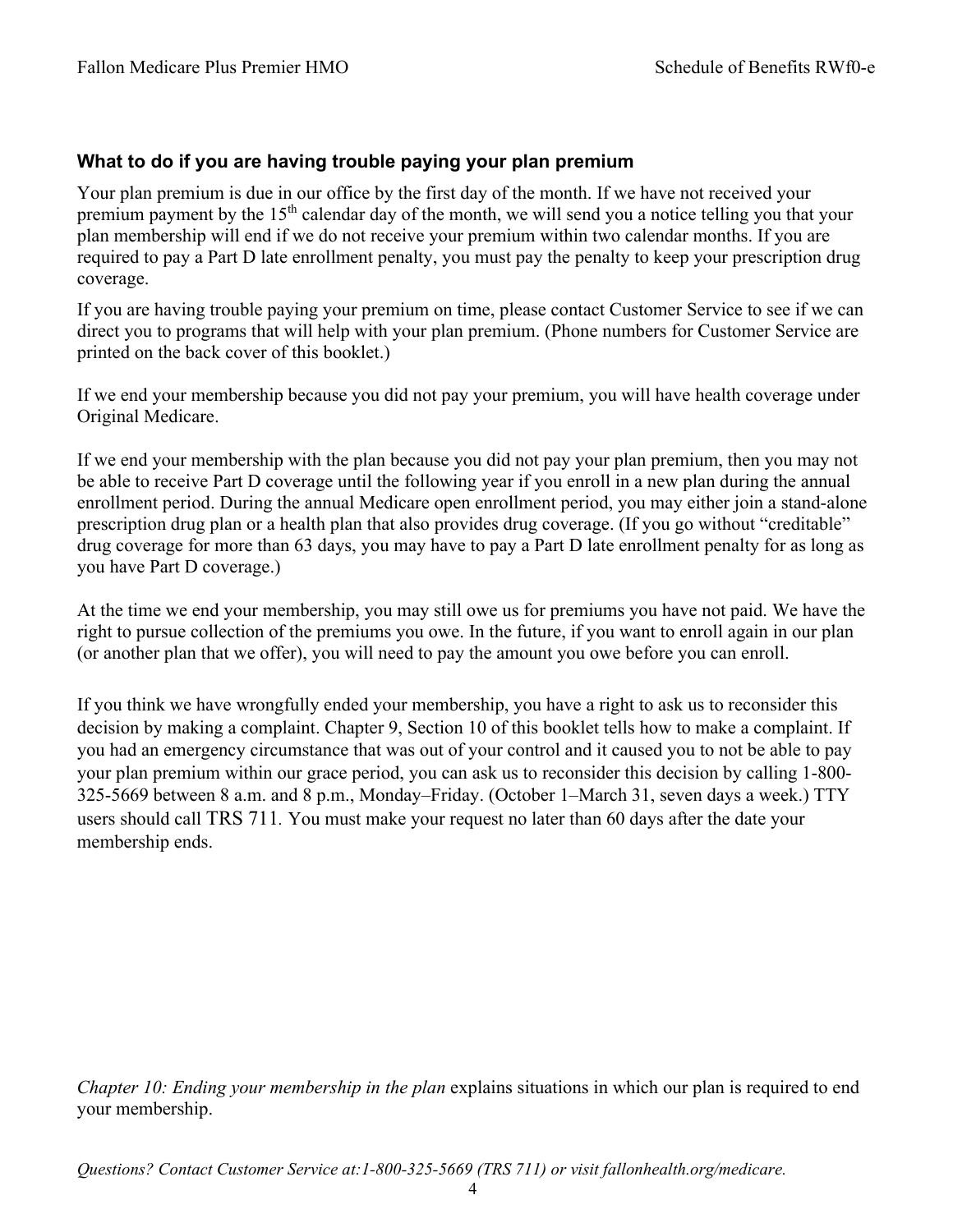## **What to do if you are having trouble paying your plan premium**

Your plan premium is due in our office by the first day of the month. If we have not received your premium payment by the 15th calendar day of the month, we will send you a notice telling you that your plan membership will end if we do not receive your premium within two calendar months. If you are required to pay a Part D late enrollment penalty, you must pay the penalty to keep your prescription drug coverage.

If you are having trouble paying your premium on time, please contact Customer Service to see if we can direct you to programs that will help with your plan premium. (Phone numbers for Customer Service are printed on the back cover of this booklet.)

If we end your membership because you did not pay your premium, you will have health coverage under Original Medicare.

If we end your membership with the plan because you did not pay your plan premium, then you may not be able to receive Part D coverage until the following year if you enroll in a new plan during the annual enrollment period. During the annual Medicare open enrollment period, you may either join a stand-alone prescription drug plan or a health plan that also provides drug coverage. (If you go without "creditable" drug coverage for more than 63 days, you may have to pay a Part D late enrollment penalty for as long as you have Part D coverage.)

At the time we end your membership, you may still owe us for premiums you have not paid. We have the right to pursue collection of the premiums you owe. In the future, if you want to enroll again in our plan (or another plan that we offer), you will need to pay the amount you owe before you can enroll.

If you think we have wrongfully ended your membership, you have a right to ask us to reconsider this decision by making a complaint. Chapter 9, Section 10 of this booklet tells how to make a complaint. If you had an emergency circumstance that was out of your control and it caused you to not be able to pay your plan premium within our grace period, you can ask us to reconsider this decision by calling 1-800- 325-5669 between 8 a.m. and 8 p.m., Monday–Friday. (October 1–March 31, seven days a week.) TTY users should call TRS 711*.* You must make your request no later than 60 days after the date your membership ends.

*Chapter 10: Ending your membership in the plan* explains situations in which our plan is required to end your membership.

*Questions? Contact Customer Service at:1-800-325-5669 (TRS 711) or visit fallonhealth.org/medicare.*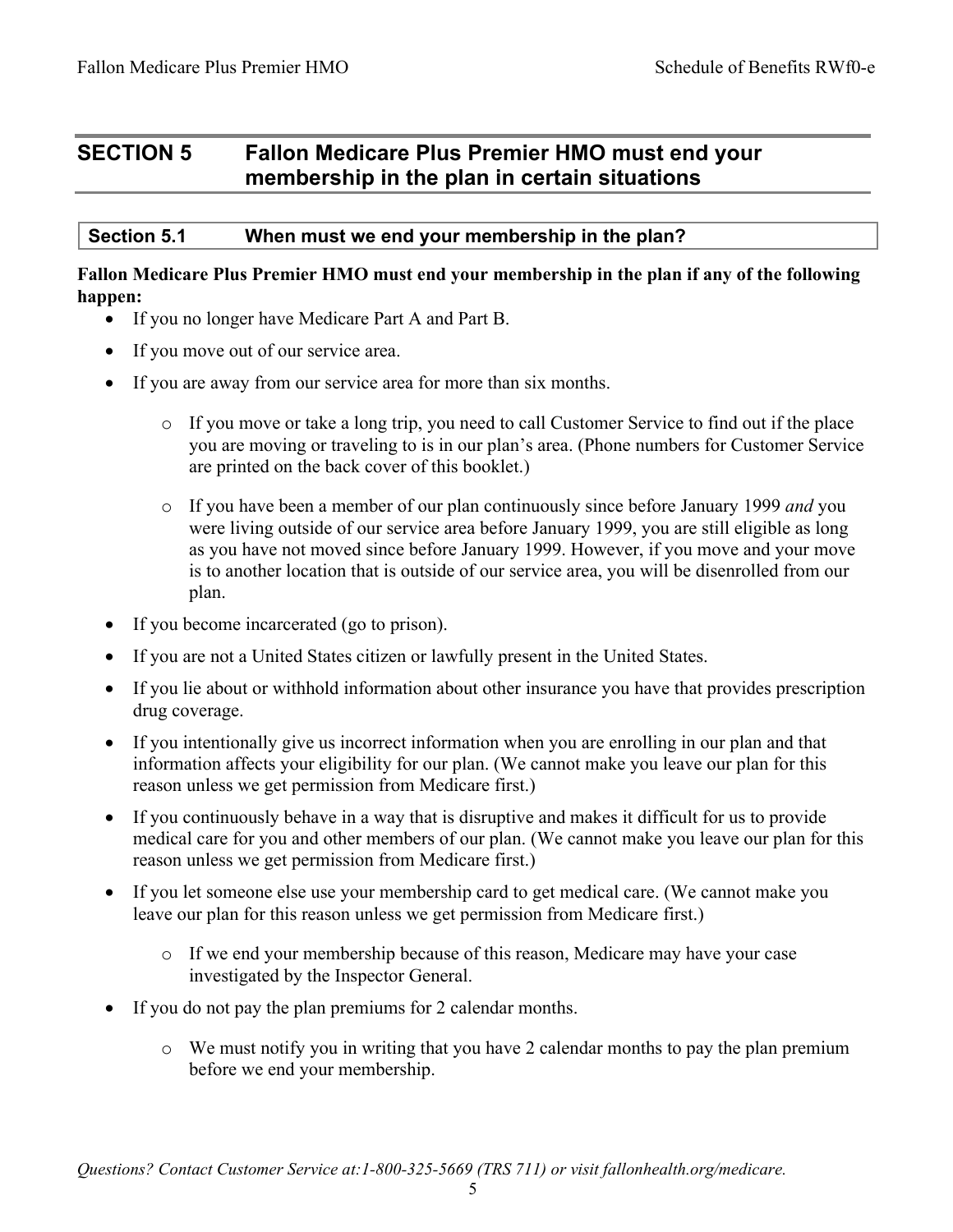# **SECTION 5 Fallon Medicare Plus Premier HMO must end your membership in the plan in certain situations**

### **Section 5.1 When must we end your membership in the plan?**

#### **Fallon Medicare Plus Premier HMO must end your membership in the plan if any of the following happen:**

- If you no longer have Medicare Part A and Part B.
- If you move out of our service area.
- If you are away from our service area for more than six months.
	- $\circ$  If you move or take a long trip, you need to call Customer Service to find out if the place you are moving or traveling to is in our plan's area. (Phone numbers for Customer Service are printed on the back cover of this booklet.)
	- o If you have been a member of our plan continuously since before January 1999 *and* you were living outside of our service area before January 1999, you are still eligible as long as you have not moved since before January 1999. However, if you move and your move is to another location that is outside of our service area, you will be disenrolled from our plan.
- If you become incarcerated (go to prison).
- If you are not a United States citizen or lawfully present in the United States.
- If you lie about or withhold information about other insurance you have that provides prescription drug coverage.
- If you intentionally give us incorrect information when you are enrolling in our plan and that information affects your eligibility for our plan. (We cannot make you leave our plan for this reason unless we get permission from Medicare first.)
- If you continuously behave in a way that is disruptive and makes it difficult for us to provide medical care for you and other members of our plan. (We cannot make you leave our plan for this reason unless we get permission from Medicare first.)
- If you let someone else use your membership card to get medical care. (We cannot make you leave our plan for this reason unless we get permission from Medicare first.)
	- o If we end your membership because of this reason, Medicare may have your case investigated by the Inspector General.
- If you do not pay the plan premiums for 2 calendar months.
	- o We must notify you in writing that you have 2 calendar months to pay the plan premium before we end your membership.